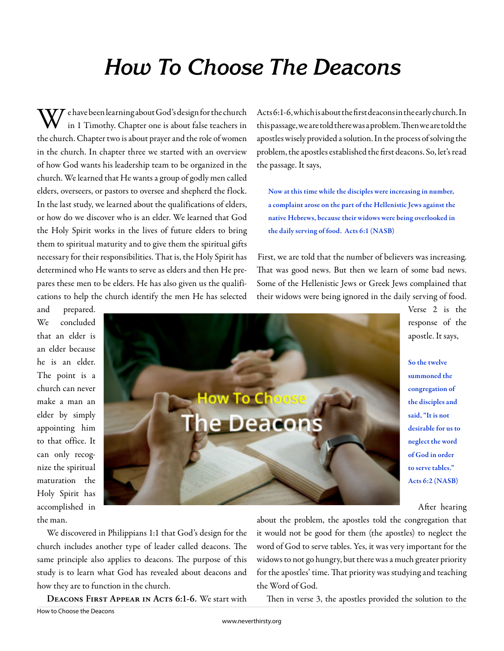## **How To Choose The Deacons**

 $\boldsymbol{V} \boldsymbol{V}$  e have been learning about God's design for the church in 1 Timothy. Chapter one is about false teachers in the church. Chapter two is about prayer and the role of women in the church. In chapter three we started with an overview of how God wants his leadership team to be organized in the church. We learned that He wants a group of godly men called elders, overseers, or pastors to oversee and shepherd the flock. In the last study, we learned about the qualifications of elders, or how do we discover who is an elder. We learned that God the Holy Spirit works in the lives of future elders to bring them to spiritual maturity and to give them the spiritual gifts necessary for their responsibilities. That is, the Holy Spirit has determined who He wants to serve as elders and then He prepares these men to be elders. He has also given us the qualifications to help the church identify the men He has selected

Acts 6:1-6, which is about the fi rst deacons in the early church. In this passage, we are told there was a problem. Then we are told the apostles wisely provided a solution. In the process of solving the problem, the apostles established the first deacons. So, let's read the passage. It says,

Now at this time while the disciples were increasing in number, a complaint arose on the part of the Hellenistic Jews against the native Hebrews, because their widows were being overlooked in the daily serving of food. Acts 6:1 (NASB)

First, we are told that the number of believers was increasing. That was good news. But then we learn of some bad news. Some of the Hellenistic Jews or Greek Jews complained that their widows were being ignored in the daily serving of food.

and prepared. We concluded that an elder is an elder because he is an elder. The point is a church can never make a man an elder by simply appointing him to that office. It can only recognize the spiritual maturation the Holy Spirit has accomplished in the man.



Verse 2 is the response of the apostle. It says,

So the twelve summoned the congregation of the disciples and said, "It is not desirable for us to neglect the word of God in order to serve tables." Acts 6:2 (NASB)

After hearing

We discovered in Philippians 1:1 that God's design for the church includes another type of leader called deacons. The same principle also applies to deacons. The purpose of this study is to learn what God has revealed about deacons and how they are to function in the church.

**Deacons First Appear in Acts 6:1-6.** We start with

about the problem, the apostles told the congregation that it would not be good for them (the apostles) to neglect the word of God to serve tables. Yes, it was very important for the widows to not go hungry, but there was a much greater priority for the apostles' time. That priority was studying and teaching the Word of God.

Then in verse 3, the apostles provided the solution to the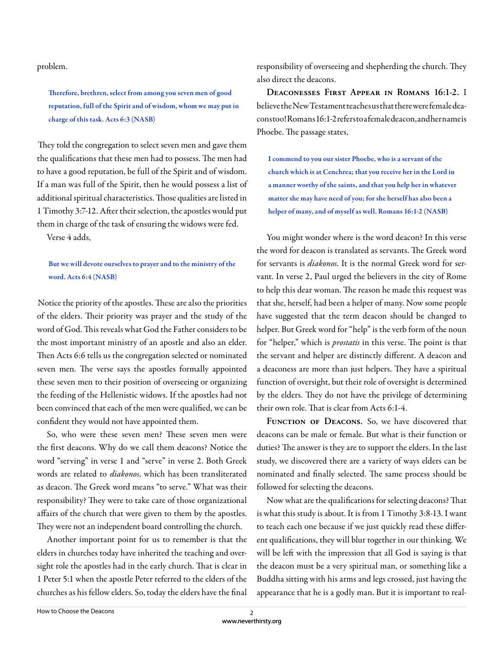problem.

Therefore, brethren, select from among you seven men of good reputation, full of the Spirit and of wisdom, whom we may put in charge of this task. Acts 6:3 (NASB)

They told the congregation to select seven men and gave them the qualifications that these men had to possess. The men had to have a good reputation, be full of the Spirit and of wisdom. If a man was full of the Spirit, then he would possess a list of additional spiritual characteristics. Those qualities are listed in 1 Timothy 3:7-12. After their selection, the apostles would put them in charge of the task of ensuring the widows were fed.

Verse 4 adds,

## But we will devote ourselves to prayer and to the ministry of the word. Acts 6:4 (NASB)

Notice the priority of the apostles. These are also the priorities of the elders. Their priority was prayer and the study of the word of God. This reveals what God the Father considers to be the most important ministry of an apostle and also an elder. Then Acts 6:6 tells us the congregation selected or nominated seven men. The verse says the apostles formally appointed these seven men to their position of overseeing or organizing the feeding of the Hellenistic widows. If the apostles had not been convinced that each of the men were qualified, we can be confident they would not have appointed them.

So, who were these seven men? These seven men were the first deacons. Why do we call them deacons? Notice the word "serving" in verse 1 and "serve" in verse 2. Both Greek words are related to *diakonos*, which has been transliterated as deacon. The Greek word means "to serve." What was their responsibility? They were to take care of those organizational affairs of the church that were given to them by the apostles. They were not an independent board controlling the church.

Another important point for us to remember is that the elders in churches today have inherited the teaching and oversight role the apostles had in the early church. That is clear in 1 Peter 5:1 when the apostle Peter referred to the elders of the churches as his fellow elders. So, today the elders have the final

responsibility of overseeing and shepherding the church. They also direct the deacons.

**Deaconesses First Appear in Romans 16:1-2.** I believe the New Testament teaches us that there were female deacons too! Romans 16:1-2 refers to a female deacon, and her name is Phoebe. The passage states,

I commend to you our sister Phoebe, who is a servant of the church which is at Cenchrea; that you receive her in the Lord in a manner worthy of the saints, and that you help her in whatever matter she may have need of you; for she herself has also been a helper of many, and of myself as well. Romans 16:1-2 (NASB)

You might wonder where is the word deacon? In this verse the word for deacon is translated as servants. The Greek word for servants is *diakonos*. It is the normal Greek word for servant. In verse 2, Paul urged the believers in the city of Rome to help this dear woman. The reason he made this request was that she, herself, had been a helper of many. Now some people have suggested that the term deacon should be changed to helper. But Greek word for "help" is the verb form of the noun for "helper," which is *prostatis* in this verse. The point is that the servant and helper are distinctly different. A deacon and a deaconess are more than just helpers. They have a spiritual function of oversight, but their role of oversight is determined by the elders. They do not have the privilege of determining their own role. That is clear from Acts 6:1-4.

FUNCTION OF DEACONS. So, we have discovered that deacons can be male or female. But what is their function or duties? The answer is they are to support the elders. In the last study, we discovered there are a variety of ways elders can be nominated and finally selected. The same process should be followed for selecting the deacons.

Now what are the qualifications for selecting deacons? That is what this study is about. It is from 1 Timothy 3:8-13. I want to teach each one because if we just quickly read these different qualifications, they will blur together in our thinking. We will be left with the impression that all God is saying is that the deacon must be a very spiritual man, or something like a Buddha sitting with his arms and legs crossed, just having the appearance that he is a godly man. But it is important to real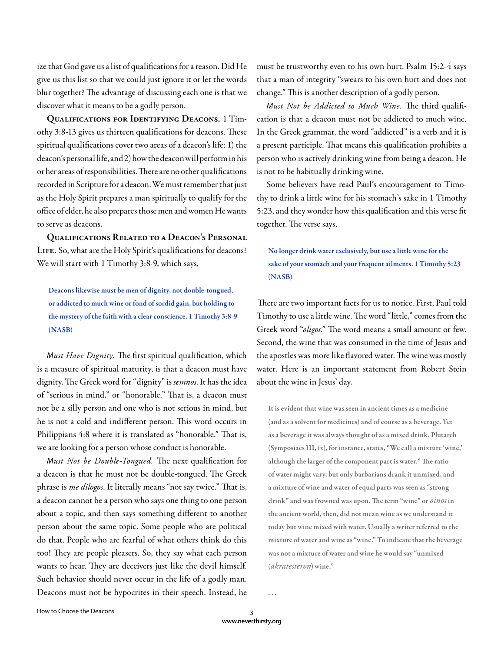ize that God gave us a list of qualifications for a reason. Did He give us this list so that we could just ignore it or let the words blur together? The advantage of discussing each one is that we discover what it means to be a godly person.

**Qualifications for Identifying Deacons.** 1 Timothy 3:8-13 gives us thirteen qualifications for deacons. These spiritual qualifications cover two areas of a deacon's life: 1) the deacon's personal life, and 2) how the deacon will perform in his or her areas of responsibilities. There are no other qualifications recorded in Scripture for a deacon. We must remember that just as the Holy Spirit prepares a man spiritually to qualify for the office of elder, he also prepares those men and women He wants to serve as deacons.

**Qualifications Related to a Deacon's Personal**  LIFE. So, what are the Holy Spirit's qualifications for deacons? We will start with 1 Timothy 3:8-9, which says,

Deacons likewise must be men of dignity, not double-tongued, or addicted to much wine or fond of sordid gain, but holding to the mystery of the faith with a clear conscience. 1 Timothy 3:8-9 (NASB)

Must Have Dignity. The first spiritual qualification, which is a measure of spiritual maturity, is that a deacon must have dignity. The Greek word for "dignity" is *semnos*. It has the idea of "serious in mind," or "honorable." That is, a deacon must not be a silly person and one who is not serious in mind, but he is not a cold and indifferent person. This word occurs in Philippians 4:8 where it is translated as "honorable." That is, we are looking for a person whose conduct is honorable.

Must Not be Double-Tongued. The next qualification for a deacon is that he must not be double-tongued. The Greek phrase is *me dilogos*. It literally means "not say twice." That is, a deacon cannot be a person who says one thing to one person about a topic, and then says something different to another person about the same topic. Some people who are political do that. People who are fearful of what others think do this too! They are people pleasers. So, they say what each person wants to hear. They are deceivers just like the devil himself. Such behavior should never occur in the life of a godly man. Deacons must not be hypocrites in their speech. Instead, he

must be trustworthy even to his own hurt. Psalm 15:2-4 says that a man of integrity "swears to his own hurt and does not change." This is another description of a godly person.

Must Not be Addicted to Much Wine. The third qualification is that a deacon must not be addicted to much wine. In the Greek grammar, the word "addicted" is a verb and it is a present participle. That means this qualification prohibits a person who is actively drinking wine from being a deacon. He is not to be habitually drinking wine.

Some believers have read Paul's encouragement to Timothy to drink a little wine for his stomach's sake in 1 Timothy 5:23, and they wonder how this qualification and this verse fit together. The verse says,

## No longer drink water exclusively, but use a little wine for the sake of your stomach and your frequent ailments. 1 Timothy 5:23 (NASB)

There are two important facts for us to notice. First, Paul told Timothy to use a little wine. The word "little," comes from the Greek word "oligos." The word means a small amount or few. Second, the wine that was consumed in the time of Jesus and the apostles was more like flavored water. The wine was mostly water. Here is an important statement from Robert Stein about the wine in Jesus' day.

It is evident that wine was seen in ancient times as a medicine (and as a solvent for medicines) and of course as a beverage. Yet as a beverage it was always thought of as a mixed drink. Plutarch (Symposiacs III, ix), for instance, states, "We call a mixture 'wine,' although the larger of the component part is water." The ratio of water might vary, but only barbarians drank it unmixed, and a mixture of wine and water of equal parts was seen as "strong drink" and was frowned was upon. The term "wine" or *oinos* in the ancient world, then, did not mean wine as we understand it today but wine mixed with water. Usually a writer referred to the mixture of water and wine as "wine." To indicate that the beverage was not a mixture of water and wine he would say "unmixed (*akratesteron*) wine."

. . .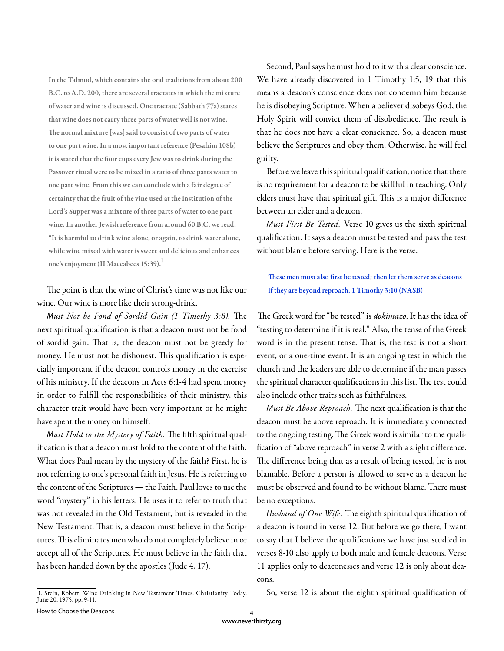In the Talmud, which contains the oral traditions from about 200 B.C. to A.D. 200, there are several tractates in which the mixture of water and wine is discussed. One tractate (Sabbath 77a) states that wine does not carry three parts of water well is not wine. The normal mixture [was] said to consist of two parts of water to one part wine. In a most important reference (Pesahim 108b) it is stated that the four cups every Jew was to drink during the Passover ritual were to be mixed in a ratio of three parts water to one part wine. From this we can conclude with a fair degree of certainty that the fruit of the vine used at the institution of the Lord's Supper was a mixture of three parts of water to one part wine. In another Jewish reference from around 60 B.C. we read, "It is harmful to drink wine alone, or again, to drink water alone, while wine mixed with water is sweet and delicious and enhances one's enjoyment (II Maccabees 15:39).<sup>1</sup>

The point is that the wine of Christ's time was not like our wine. Our wine is more like their strong-drink.

Must Not be Fond of Sordid Gain (1 Timothy 3:8). The next spiritual qualification is that a deacon must not be fond of sordid gain. That is, the deacon must not be greedy for money. He must not be dishonest. This qualification is especially important if the deacon controls money in the exercise of his ministry. If the deacons in Acts 6:1-4 had spent money in order to fulfill the responsibilities of their ministry, this character trait would have been very important or he might have spent the money on himself.

Must Hold to the Mystery of Faith. The fifth spiritual qualification is that a deacon must hold to the content of the faith. What does Paul mean by the mystery of the faith? First, he is not referring to one's personal faith in Jesus. He is referring to the content of the Scriptures — the Faith. Paul loves to use the word "mystery" in his letters. He uses it to refer to truth that was not revealed in the Old Testament, but is revealed in the New Testament. That is, a deacon must believe in the Scriptures. This eliminates men who do not completely believe in or accept all of the Scriptures. He must believe in the faith that has been handed down by the apostles (Jude 4, 17).

Second, Paul says he must hold to it with a clear conscience. We have already discovered in 1 Timothy 1:5, 19 that this means a deacon's conscience does not condemn him because he is disobeying Scripture. When a believer disobeys God, the Holy Spirit will convict them of disobedience. The result is that he does not have a clear conscience. So, a deacon must believe the Scriptures and obey them. Otherwise, he will feel guilty.

Before we leave this spiritual qualification, notice that there is no requirement for a deacon to be skillful in teaching. Only elders must have that spiritual gift. This is a major difference between an elder and a deacon.

M*ust First Be Tested.* Verse 10 gives us the sixth spiritual qualification. It says a deacon must be tested and pass the test without blame before serving. Here is the verse.

These men must also first be tested; then let them serve as deacons if they are beyond reproach. 1 Timothy 3:10 (NASB)

The Greek word for "be tested" is *dokimazo*. It has the idea of "testing to determine if it is real." Also, the tense of the Greek word is in the present tense. That is, the test is not a short event, or a one-time event. It is an ongoing test in which the church and the leaders are able to determine if the man passes the spiritual character qualifications in this list. The test could also include other traits such as faithfulness.

Must Be Above Reproach. The next qualification is that the deacon must be above reproach. It is immediately connected to the ongoing testing. The Greek word is similar to the qualification of "above reproach" in verse 2 with a slight difference. The difference being that as a result of being tested, he is not blamable. Before a person is allowed to serve as a deacon he must be observed and found to be without blame. There must be no exceptions.

Husband of One Wife. The eighth spiritual qualification of a deacon is found in verse 12. But before we go there, I want to say that I believe the qualifications we have just studied in verses 8-10 also apply to both male and female deacons. Verse 11 applies only to deaconesses and verse 12 is only about deacons.

So, verse 12 is about the eighth spiritual qualification of

<sup>1.</sup> Stein, Robert. Wine Drinking in New Testament Times. Christianity Today. June 20, 1975. pp. 9-11.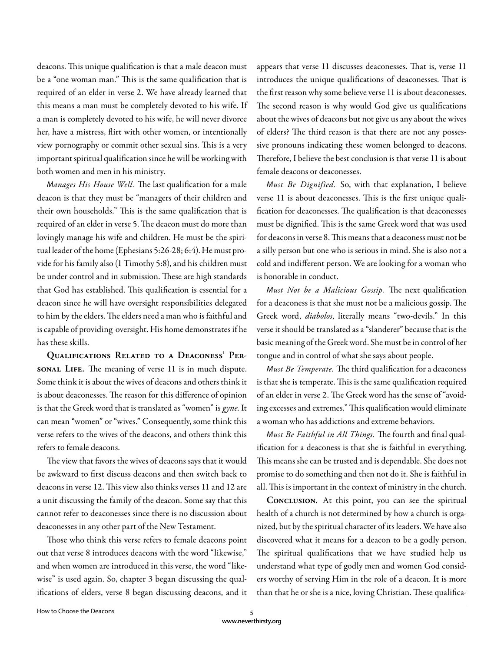deacons. This unique qualification is that a male deacon must be a "one woman man." This is the same qualification that is required of an elder in verse 2. We have already learned that this means a man must be completely devoted to his wife. If a man is completely devoted to his wife, he will never divorce her, have a mistress, flirt with other women, or intentionally view pornography or commit other sexual sins. This is a very important spiritual qualification since he will be working with both women and men in his ministry.

Manages His House Well. The last qualification for a male deacon is that they must be "managers of their children and their own households." This is the same qualification that is required of an elder in verse 5. The deacon must do more than lovingly manage his wife and children. He must be the spiritual leader of the home (Ephesians 5:26-28; 6:4). He must provide for his family also (1 Timothy 5:8), and his children must be under control and in submission. These are high standards that God has established. This qualification is essential for a deacon since he will have oversight responsibilities delegated to him by the elders. The elders need a man who is faithful and is capable of providing oversight. His home demonstrates if he has these skills.

**Qualifications Related to a Deaconess' PersONAL LIFE.** The meaning of verse 11 is in much dispute. Some think it is about the wives of deacons and others think it is about deaconesses. The reason for this difference of opinion is that the Greek word that is translated as "women" is *gyne*. It can mean "women" or "wives." Consequently, some think this verse refers to the wives of the deacons, and others think this refers to female deacons.

The view that favors the wives of deacons says that it would be awkward to first discuss deacons and then switch back to deacons in verse 12. This view also thinks verses 11 and 12 are a unit discussing the family of the deacon. Some say that this cannot refer to deaconesses since there is no discussion about deaconesses in any other part of the New Testament.

Those who think this verse refers to female deacons point out that verse 8 introduces deacons with the word "likewise," and when women are introduced in this verse, the word "likewise" is used again. So, chapter 3 began discussing the qualifications of elders, verse 8 began discussing deacons, and it

appears that verse 11 discusses deaconesses. That is, verse 11 introduces the unique qualifications of deaconesses. That is the first reason why some believe verse 11 is about deaconesses. The second reason is why would God give us qualifications about the wives of deacons but not give us any about the wives of elders? The third reason is that there are not any possessive pronouns indicating these women belonged to deacons. Therefore, I believe the best conclusion is that verse 11 is about female deacons or deaconesses.

M*ust Be Dignified.* So, with that explanation, I believe verse 11 is about deaconesses. This is the first unique qualification for deaconesses. The qualification is that deaconesses must be dignified. This is the same Greek word that was used for deacons in verse 8. This means that a deaconess must not be a silly person but one who is serious in mind. She is also not a cold and indifferent person. We are looking for a woman who is honorable in conduct.

Must Not be a Malicious Gossip. The next qualification for a deaconess is that she must not be a malicious gossip. The Greek word, *diabolos*, literally means "two-devils." In this verse it should be translated as a "slanderer" because that is the basic meaning of the Greek word. She must be in control of her tongue and in control of what she says about people.

Must Be Temperate. The third qualification for a deaconess is that she is temperate. This is the same qualification required of an elder in verse 2. The Greek word has the sense of "avoiding excesses and extremes." This qualification would eliminate a woman who has addictions and extreme behaviors.

Must Be Faithful in All Things. The fourth and final qualification for a deaconess is that she is faithful in everything. This means she can be trusted and is dependable. She does not promise to do something and then not do it. She is faithful in all. This is important in the context of ministry in the church.

**Conclusion.** At this point, you can see the spiritual health of a church is not determined by how a church is organized, but by the spiritual character of its leaders. We have also discovered what it means for a deacon to be a godly person. The spiritual qualifications that we have studied help us understand what type of godly men and women God considers worthy of serving Him in the role of a deacon. It is more than that he or she is a nice, loving Christian. These qualifica